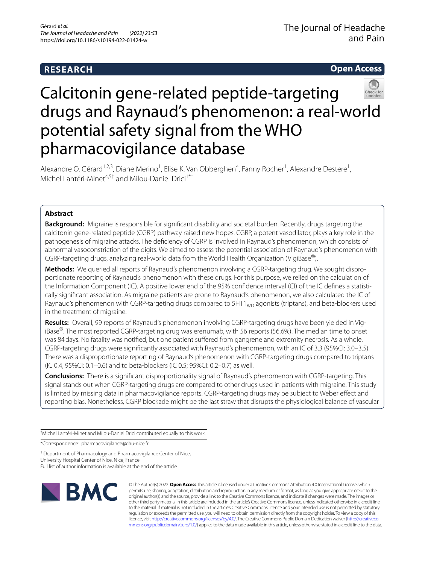# **RESEARCH**

**Open Access**

# Calcitonin gene-related peptide-targeting drugs and Raynaud's phenomenon: a real-world potential safety signal from the WHO pharmacovigilance database

Alexandre O. Gérard<sup>1,2,3</sup>, Diane Merino<sup>1</sup>, Elise K. Van Obberghen<sup>4</sup>, Fanny Rocher<sup>1</sup>, Alexandre Destere<sup>1</sup>, Michel Lantéri-Minet<sup>4,5†</sup> and Milou-Daniel Drici<sup>1\*†</sup>

# **Abstract**

**Background:** Migraine is responsible for signifcant disability and societal burden. Recently, drugs targeting the calcitonin gene-related peptide (CGRP) pathway raised new hopes. CGRP, a potent vasodilator, plays a key role in the pathogenesis of migraine attacks. The defciency of CGRP is involved in Raynaud's phenomenon, which consists of abnormal vasoconstriction of the digits. We aimed to assess the potential association of Raynaud's phenomenon with CGRP-targeting drugs, analyzing real-world data from the World Health Organization (VigiBase®).

**Methods:** We queried all reports of Raynaud's phenomenon involving a CGRP-targeting drug. We sought dispro‑ portionate reporting of Raynaud's phenomenon with these drugs. For this purpose, we relied on the calculation of the Information Component (IC). A positive lower end of the 95% confidence interval (CI) of the IC defines a statistically signifcant association. As migraine patients are prone to Raynaud's phenomenon, we also calculated the IC of Raynaud's phenomenon with CGRP-targeting drugs compared to  $5HT1_{R/D}$  agonists (triptans), and beta-blockers used in the treatment of migraine.

**Results:** Overall, 99 reports of Raynaud's phenomenon involving CGRP-targeting drugs have been yielded in Vig‑ iBase®. The most reported CGRP-targeting drug was erenumab, with 56 reports (56.6%). The median time to onset was 84 days. No fatality was notified, but one patient suffered from gangrene and extremity necrosis. As a whole, CGRP-targeting drugs were signifcantly associated with Raynaud's phenomenon, with an IC of 3.3 (95%CI: 3.0–3.5). There was a disproportionate reporting of Raynaud's phenomenon with CGRP-targeting drugs compared to triptans (IC 0.4; 95%CI: 0.1–0.6) and to beta-blockers (IC 0.5; 95%CI: 0.2–0.7) as well.

**Conclusions:** There is a signifcant disproportionality signal of Raynaud's phenomenon with CGRP-targeting. This signal stands out when CGRP-targeting drugs are compared to other drugs used in patients with migraine. This study is limited by missing data in pharmacovigilance reports. CGRP-targeting drugs may be subject to Weber efect and reporting bias. Nonetheless, CGRP blockade might be the last straw that disrupts the physiological balance of vascular

† Michel Lantéri-Minet and Milou-Daniel Drici contributed equally to this work.

\*Correspondence: pharmacovigilance@chu-nice.fr

<sup>1</sup> Department of Pharmacology and Pharmacovigilance Center of Nice, University Hospital Center of Nice, Nice, France

Full list of author information is available at the end of the article



© The Author(s) 2022. **Open Access** This article is licensed under a Creative Commons Attribution 4.0 International License, which permits use, sharing, adaptation, distribution and reproduction in any medium or format, as long as you give appropriate credit to the original author(s) and the source, provide a link to the Creative Commons licence, and indicate if changes were made. The images or other third party material in this article are included in the article's Creative Commons licence, unless indicated otherwise in a credit line to the material. If material is not included in the article's Creative Commons licence and your intended use is not permitted by statutory regulation or exceeds the permitted use, you will need to obtain permission directly from the copyright holder. To view a copy of this licence, visit [http://creativecommons.org/licenses/by/4.0/.](http://creativecommons.org/licenses/by/4.0/) The Creative Commons Public Domain Dedication waiver ([http://creativeco](http://creativecommons.org/publicdomain/zero/1.0/) [mmons.org/publicdomain/zero/1.0/](http://creativecommons.org/publicdomain/zero/1.0/)) applies to the data made available in this article, unless otherwise stated in a credit line to the data.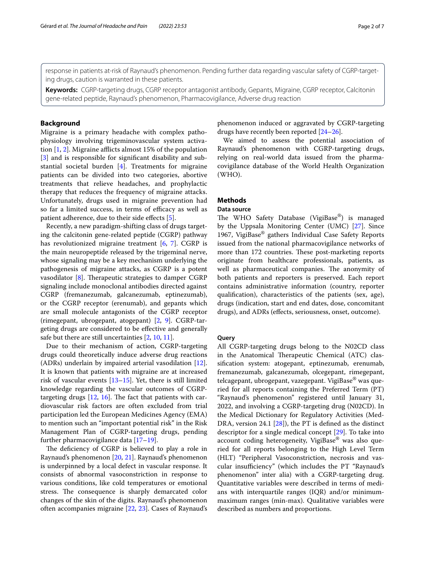response in patients at-risk of Raynaud's phenomenon. Pending further data regarding vascular safety of CGRP-targeting drugs, caution is warranted in these patients.

**Keywords:** CGRP-targeting drugs, CGRP receptor antagonist antibody, Gepants, Migraine, CGRP receptor, Calcitonin gene-related peptide, Raynaud's phenomenon, Pharmacovigilance, Adverse drug reaction

# **Background**

Migraine is a primary headache with complex pathophysiology involving trigeminovascular system activation  $[1, 2]$  $[1, 2]$  $[1, 2]$  $[1, 2]$ . Migraine afflicts almost 15% of the population [[3\]](#page-4-2) and is responsible for significant disability and substantial societal burden [[4\]](#page-4-3). Treatments for migraine patients can be divided into two categories, abortive treatments that relieve headaches, and prophylactic therapy that reduces the frequency of migraine attacks. Unfortunately, drugs used in migraine prevention had so far a limited success, in terms of efficacy as well as patient adherence, due to their side effects [\[5](#page-4-4)].

Recently, a new paradigm-shifting class of drugs targeting the calcitonin gene-related peptide (CGRP) pathway has revolutionized migraine treatment [[6](#page-4-5), [7](#page-5-0)]. CGRP is the main neuropeptide released by the trigeminal nerve, whose signaling may be a key mechanism underlying the pathogenesis of migraine attacks, as CGRP is a potent vasodilator  $[8]$  $[8]$ . Therapeutic strategies to damper CGRP signaling include monoclonal antibodies directed against CGRP (fremanezumab, galcanezumab, eptinezumab), or the CGRP receptor (erenumab), and gepants which are small molecule antagonists of the CGRP receptor (rimegepant, ubrogepant, atogepant) [\[2](#page-4-1), [9](#page-5-2)]. CGRP-targeting drugs are considered to be efective and generally safe but there are still uncertainties [\[2,](#page-4-1) [10](#page-5-3), [11\]](#page-5-4).

Due to their mechanism of action, CGRP-targeting drugs could theoretically induce adverse drug reactions (ADRs) underlain by impaired arterial vasodilation [\[12](#page-5-5)]. It is known that patients with migraine are at increased risk of vascular events [\[13–](#page-5-6)[15\]](#page-5-7). Yet, there is still limited knowledge regarding the vascular outcomes of CGRPtargeting drugs  $[12, 16]$  $[12, 16]$  $[12, 16]$  $[12, 16]$ . The fact that patients with cardiovascular risk factors are often excluded from trial participation led the European Medicines Agency (EMA) to mention such an "important potential risk" in the Risk Management Plan of CGRP-targeting drugs, pending further pharmacovigilance data [[17](#page-5-9)[–19](#page-5-10)].

The deficiency of CGRP is believed to play a role in Raynaud's phenomenon [\[20](#page-5-11), [21\]](#page-5-12). Raynaud's phenomenon is underpinned by a local defect in vascular response. It consists of abnormal vasoconstriction in response to various conditions, like cold temperatures or emotional stress. The consequence is sharply demarcated color changes of the skin of the digits. Raynaud's phenomenon often accompanies migraine [\[22,](#page-5-13) [23\]](#page-5-14). Cases of Raynaud's phenomenon induced or aggravated by CGRP-targeting drugs have recently been reported [\[24](#page-5-15)[–26](#page-5-16)].

We aimed to assess the potential association of Raynaud's phenomenon with CGRP-targeting drugs, relying on real-world data issued from the pharmacovigilance database of the World Health Organization (WHO).

# **Methods**

# **Data source**

The WHO Safety Database (VigiBase®) is managed by the Uppsala Monitoring Center (UMC) [[27\]](#page-5-17). Since 1967, VigiBase® gathers Individual Case Safety Reports issued from the national pharmacovigilance networks of more than 172 countries. These post-marketing reports originate from healthcare professionals, patients, as well as pharmaceutical companies. The anonymity of both patients and reporters is preserved. Each report contains administrative information (country, reporter qualifcation), characteristics of the patients (sex, age), drugs (indication, start and end dates, dose, concomitant drugs), and ADRs (efects, seriousness, onset, outcome).

# **Query**

All CGRP-targeting drugs belong to the N02CD class in the Anatomical Therapeutic Chemical (ATC) classifcation system: atogepant, eptinezumab, erenumab, fremanezumab, galcanezumab, olcegepant, rimegepant, telcagepant, ubrogepant, vazegepant. VigiBase® was queried for all reports containing the Preferred Term (PT) "Raynaud's phenomenon" registered until January 31, 2022, and involving a CGRP-targeting drug (N02CD). In the Medical Dictionary for Regulatory Activities (Med-DRA, version 24.1 [\[28](#page-5-18)]), the PT is defned as the distinct descriptor for a single medical concept [[29\]](#page-5-19). To take into account coding heterogeneity, VigiBase® was also queried for all reports belonging to the High Level Term (HLT) "Peripheral Vasoconstriction, necrosis and vascular insufficiency" (which includes the PT "Raynaud's phenomenon" inter alia) with a CGRP-targeting drug. Quantitative variables were described in terms of medians with interquartile ranges (IQR) and/or minimummaximum ranges (min-max). Qualitative variables were described as numbers and proportions.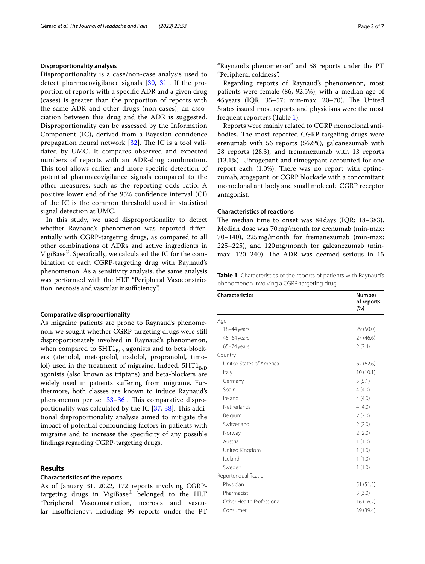# **Disproportionality analysis**

Disproportionality is a case/non-case analysis used to detect pharmacovigilance signals [[30](#page-5-20), [31\]](#page-5-21). If the proportion of reports with a specifc ADR and a given drug (cases) is greater than the proportion of reports with the same ADR and other drugs (non-cases), an association between this drug and the ADR is suggested. Disproportionality can be assessed by the Information Component (IC), derived from a Bayesian confdence propagation neural network  $[32]$  $[32]$ . The IC is a tool validated by UMC. It compares observed and expected numbers of reports with an ADR-drug combination. This tool allows earlier and more specific detection of potential pharmacovigilance signals compared to the other measures, such as the reporting odds ratio. A positive lower end of the 95% confdence interval (CI) of the IC is the common threshold used in statistical signal detection at UMC.

In this study, we used disproportionality to detect whether Raynaud's phenomenon was reported diferentially with CGRP-targeting drugs, as compared to all other combinations of ADRs and active ingredients in VigiBase®. Specifcally, we calculated the IC for the combination of each CGRP-targeting drug with Raynaud's phenomenon. As a sensitivity analysis, the same analysis was performed with the HLT "Peripheral Vasoconstriction, necrosis and vascular insufficiency".

## **Comparative disproportionality**

As migraine patients are prone to Raynaud's phenomenon, we sought whether CGRP-targeting drugs were still disproportionately involved in Raynaud's phenomenon, when compared to  $5HT1<sub>B/D</sub>$  agonists and to beta-blockers (atenolol, metoprolol, nadolol, propranolol, timolol) used in the treatment of migraine. Indeed,  $5HT1<sub>B/D</sub>$ agonists (also known as triptans) and beta-blockers are widely used in patients suffering from migraine. Furthermore, both classes are known to induce Raynaud's phenomenon per se  $[33-36]$  $[33-36]$ . This comparative disproportionality was calculated by the IC  $[37, 38]$  $[37, 38]$  $[37, 38]$  $[37, 38]$  $[37, 38]$ . This additional disproportionality analysis aimed to mitigate the impact of potential confounding factors in patients with migraine and to increase the specifcity of any possible fndings regarding CGRP-targeting drugs.

# **Results**

# **Characteristics of the reports**

As of January 31, 2022, 172 reports involving CGRPtargeting drugs in VigiBase® belonged to the HLT "Peripheral Vasoconstriction, necrosis and vascular insufficiency", including 99 reports under the PT "Raynaud's phenomenon" and 58 reports under the PT "Peripheral coldness".

Regarding reports of Raynaud's phenomenon, most patients were female (86, 92.5%), with a median age of 45 years (IQR: 35-57; min-max: 20-70). The United States issued most reports and physicians were the most frequent reporters (Table [1\)](#page-2-0).

Reports were mainly related to CGRP monoclonal antibodies. The most reported CGRP-targeting drugs were erenumab with 56 reports (56.6%), galcanezumab with 28 reports (28.3), and fremanezumab with 13 reports (13.1%). Ubrogepant and rimegepant accounted for one report each  $(1.0\%)$ . There was no report with eptinezumab, atogepant, or CGRP blockade with a concomitant monoclonal antibody and small molecule CGRP receptor antagonist.

# **Characteristics of reactions**

The median time to onset was 84 days (IQR: 18-383). Median dose was 70mg/month for erenumab (min-max: 70–140), 225mg/month for fremanezumab (min-max: 225–225), and 120mg/month for galcanezumab (minmax: 120–240). The ADR was deemed serious in 15

<span id="page-2-0"></span>**Table 1** Characteristics of the reports of patients with Raynaud's phenomenon involving a CGRP-targeting drug

| <b>Characteristics</b>    | <b>Number</b><br>of reports<br>(%) |
|---------------------------|------------------------------------|
| Age                       |                                    |
| 18-44 years               | 29 (50.0)                          |
| 45-64 years               | 27 (46.6)                          |
| 65-74 years               | 2(3.4)                             |
| Country                   |                                    |
| United States of America  | 62(62.6)                           |
| Italy                     | 10(10.1)                           |
| Germany                   | 5(5.1)                             |
| Spain                     | 4(4.0)                             |
| Ireland                   | 4(4.0)                             |
| Netherlands               | 4(4.0)                             |
| Belgium                   | 2(2.0)                             |
| Switzerland               | 2(2.0)                             |
| Norway                    | 2(2.0)                             |
| Austria                   | 1(1.0)                             |
| United Kingdom            | 1(1.0)                             |
| Iceland                   | 1(1.0)                             |
| Sweden                    | 1(1.0)                             |
| Reporter qualification    |                                    |
| Physician                 | 51(51.5)                           |
| Pharmacist                | 3(3.0)                             |
| Other Health Professional | 16(16.2)                           |
| Consumer                  | 39 (39.4)                          |
|                           |                                    |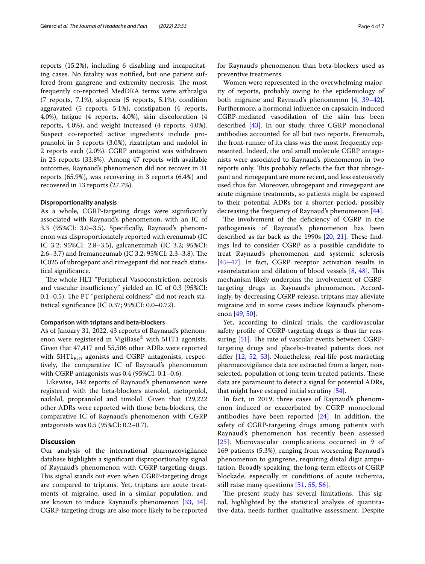reports (15.2%), including 6 disabling and incapacitating cases. No fatality was notifed, but one patient suffered from gangrene and extremity necrosis. The most frequently co-reported MedDRA terms were arthralgia (7 reports, 7.1%), alopecia (5 reports, 5.1%), condition aggravated (5 reports, 5.1%), constipation (4 reports, 4.0%), fatigue (4 reports, 4.0%), skin discoloration (4 reports, 4.0%), and weight increased (4 reports, 4.0%). Suspect co-reported active ingredients include propranolol in 3 reports (3.0%), rizatriptan and nadolol in 2 reports each (2.0%). CGRP antagonist was withdrawn in 23 reports (33.8%). Among 47 reports with available outcomes, Raynaud's phenomenon did not recover in 31 reports (65.9%), was recovering in 3 reports (6.4%) and recovered in 13 reports (27.7%).

#### **Disproportionality analysis**

As a whole, CGRP-targeting drugs were signifcantly associated with Raynaud's phenomenon, with an IC of 3.3 (95%CI: 3.0–3.5). Specifcally, Raynaud's phenomenon was disproportionately reported with erenumab (IC IC 3.2; 95%CI: 2.8–3.5), galcanezumab (IC 3.2; 95%CI: 2.6–3.7) and fremanezumab (IC 3.2; 95%CI: 2.3–3.8). The IC025 of ubrogepant and rimegepant did not reach statistical signifcance.

The whole HLT "Peripheral Vasoconstriction, necrosis and vascular insufficiency" yielded an IC of 0.3 (95%CI: 0.1–0.5). The PT "peripheral coldness" did not reach statistical signifcance (IC 0.37; 95%CI: 0.0–0.72).

#### **Comparison with triptans and beta‑blockers**

As of January 31, 2022, 43 reports of Raynaud's phenomenon were registered in VigiBase® with 5HT1 agonists. Given that 47,417 and 55,506 other ADRs were reported with  $5HT1<sub>B/D</sub>$  agonists and CGRP antagonists, respectively, the comparative IC of Raynaud's phenomenon with CGRP antagonists was 0.4 (95%CI: 0.1–0.6).

Likewise, 142 reports of Raynaud's phenomenon were registered with the beta-blockers atenolol, metoprolol, nadolol, propranolol and timolol. Given that 129,222 other ADRs were reported with those beta-blockers, the comparative IC of Raynaud's phenomenon with CGRP antagonists was 0.5 (95%CI: 0.2–0.7).

## **Discussion**

Our analysis of the international pharmacovigilance database highlights a signifcant disproportionality signal of Raynaud's phenomenon with CGRP-targeting drugs. This signal stands out even when CGRP-targeting drugs are compared to triptans. Yet, triptans are acute treatments of migraine, used in a similar population, and are known to induce Raynaud's phenomenon [[33,](#page-5-23) [34](#page-5-27)]. CGRP-targeting drugs are also more likely to be reported for Raynaud's phenomenon than beta-blockers used as preventive treatments.

Women were represented in the overwhelming majority of reports, probably owing to the epidemiology of both migraine and Raynaud's phenomenon [[4,](#page-4-3) [39](#page-5-28)[–42](#page-5-29)]. Furthermore, a hormonal infuence on capsaicin-induced CGRP-mediated vasodilation of the skin has been described [\[43](#page-5-30)]. In our study, three CGRP monoclonal antibodies accounted for all but two reports. Erenumab, the front-runner of its class was the most frequently represented. Indeed, the oral small molecule CGRP antagonists were associated to Raynaud's phenomenon in two reports only. This probably reflects the fact that ubrogepant and rimegepant are more recent, and less extensively used thus far. Moreover, ubrogepant and rimegepant are acute migraine treatments, so patients might be exposed to their potential ADRs for a shorter period, possibly decreasing the frequency of Raynaud's phenomenon [[44\]](#page-5-31).

The involvement of the deficiency of CGRP in the pathogenesis of Raynaud's phenomenon has been described as far back as the 1990s  $[20, 21]$  $[20, 21]$  $[20, 21]$  $[20, 21]$  $[20, 21]$ . These findings led to consider CGRP as a possible candidate to treat Raynaud's phenomenon and systemic sclerosis [[45–](#page-5-32)[47\]](#page-5-33). In fact, CGRP receptor activation results in vasorelaxation and dilation of blood vessels [\[8](#page-5-1), [48](#page-5-34)]. This mechanism likely underpins the involvement of CGRPtargeting drugs in Raynaud's phenomenon. Accordingly, by decreasing CGRP release, triptans may alleviate migraine and in some cases induce Raynaud's phenomenon [[49,](#page-5-35) [50\]](#page-6-0).

Yet, according to clinical trials, the cardiovascular safety profle of CGRP-targeting drugs is thus far reassuring  $[51]$ . The rate of vascular events between CGRPtargeting drugs and placebo-treated patients does not difer [\[12](#page-5-5), [52](#page-6-2), [53\]](#page-6-3). Nonetheless, real-life post-marketing pharmacovigilance data are extracted from a larger, nonselected, population of long-term treated patients. These data are paramount to detect a signal for potential ADRs, that might have escaped initial scrutiny [\[54](#page-6-4)].

In fact, in 2019, three cases of Raynaud's phenomenon induced or exacerbated by CGRP monoclonal antibodies have been reported  $[24]$  $[24]$  $[24]$ . In addition, the safety of CGRP-targeting drugs among patients with Raynaud's phenomenon has recently been assessed [[25](#page-5-36)]. Microvascular complications occurred in 9 of 169 patients (5.3%), ranging from worsening Raynaud's phenomenon to gangrene, requiring distal digit amputation. Broadly speaking, the long-term efects of CGRP blockade, especially in conditions of acute ischemia, still raise many questions [[51](#page-6-1), [55](#page-6-5), [56\]](#page-6-6).

The present study has several limitations. This signal, highlighted by the statistical analysis of quantitative data, needs further qualitative assessment. Despite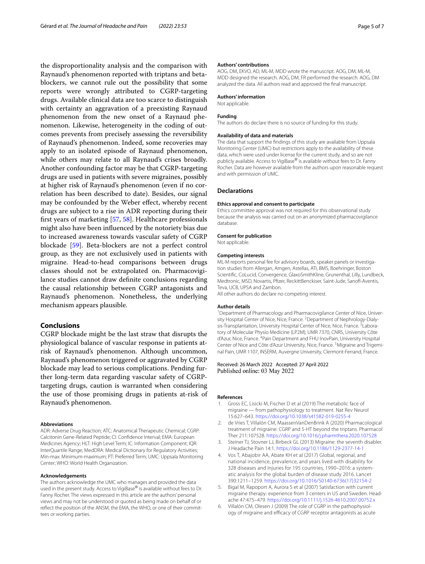the disproportionality analysis and the comparison with Raynaud's phenomenon reported with triptans and betablockers, we cannot rule out the possibility that some reports were wrongly attributed to CGRP-targeting drugs. Available clinical data are too scarce to distinguish with certainty an aggravation of a preexisting Raynaud phenomenon from the new onset of a Raynaud phenomenon. Likewise, heterogeneity in the coding of outcomes prevents from precisely assessing the reversibility of Raynaud's phenomenon. Indeed, some recoveries may apply to an isolated episode of Raynaud phenomenon, while others may relate to all Raynaud's crises broadly. Another confounding factor may be that CGRP-targeting drugs are used in patients with severe migraines, possibly at higher risk of Raynaud's phenomenon (even if no correlation has been described to date). Besides, our signal may be confounded by the Weber efect, whereby recent drugs are subject to a rise in ADR reporting during their frst years of marketing [\[57](#page-6-7), [58\]](#page-6-8). Healthcare professionals might also have been infuenced by the notoriety bias due to increased awareness towards vascular safety of CGRP blockade [\[59](#page-6-9)]. Beta-blockers are not a perfect control group, as they are not exclusively used in patients with migraine. Head-to-head comparisons between drugs classes should not be extrapolated on. Pharmacovigilance studies cannot draw defnite conclusions regarding the causal relationship between CGRP antagonists and Raynaud's phenomenon. Nonetheless, the underlying mechanism appears plausible.

# **Conclusions**

CGRP blockade might be the last straw that disrupts the physiological balance of vascular response in patients atrisk of Raynaud's phenomenon. Although uncommon, Raynaud's phenomenon triggered or aggravated by CGRP blockade may lead to serious complications. Pending further long-term data regarding vascular safety of CGRPtargeting drugs, caution is warranted when considering the use of those promising drugs in patients at-risk of Raynaud's phenomenon.

#### **Abbreviations**

ADR: Adverse Drug Reaction; ATC: Anatomical Therapeutic Chemical; CGRP: Calcitonin Gene-Related Peptide; CI: Confdence Interval; EMA: European Medicines Agency; HLT: High Level Term; IC: Information Component; IQR: InterQuartile Range; MedDRA: Medical Dictionary for Regulatory Activities; Min-max: Minimum-maximum; PT: Preferred Term; UMC: Uppsala Monitoring Center; WHO: World Health Organization.

#### **Acknowledgements**

The authors acknowledge the UMC who manages and provided the data used in the present study. Access to VigiBase® is available without fees to Dr. Fanny Rocher. The views expressed in this article are the authors' personal views and may not be understood or quoted as being made on behalf of or reflect the position of the ANSM, the EMA, the WHO, or one of their committees or working parties.

#### **Authors' contributions**

AOG, DM, EKVO, AD, ML-M, MDD wrote the manuscript. AOG, DM, ML-M, MDD designed the research. AOG, DM, FR performed the research. AOG, DM analyzed the data. All authors read and approved the fnal manuscript.

# **Authors' information**

Not applicable.

#### **Funding**

The authors do declare there is no source of funding for this study.

#### **Availability of data and materials**

The data that support the fndings of this study are available from Uppsala Monitoring Center (UMC) but restrictions apply to the availability of these data, which were used under license for the current study, and so are not publicly available. Access to VigiBase® is available without fees to Dr. Fanny Rocher. Data are however available from the authors upon reasonable request and with permission of UMC.

#### **Declarations**

#### **Ethics approval and consent to participate**

Ethics committee approval was not required for this observational study because the analysis was carried out on an anonymized pharmacovigilance database.

**Consent for publication** Not applicable.

# **Competing interests**

ML-M reports personal fee for advisory boards, speaker panels or investigation studies from Allergan, Amgen, Astellas, ATI, BMS, Boehringer, Boston Scientifc, CoLucid, Convergence, GlaxoSmithKline, Grunenthal, Lilly, Lundbeck, Medtronic, MSD, Novartis, Pfzer, ReckittBenckiser, Saint-Jude, Sanof-Aventis, Teva, UCB, UPSA and Zambon.

All other authors do declare no competing interest.

#### **Author details**

<sup>1</sup> Department of Pharmacology and Pharmacovigilance Center of Nice, University Hospital Center of Nice, Nice, France. <sup>2</sup> Department of Nephrology-Dialysis-Transplantation, University Hospital Center of Nice, Nice, France.<sup>3</sup> Laboratory of Molecular Physio Medicine (LP2M), UMR 7370, CNRS, University Côte d'Azur, Nice, France. <sup>4</sup> Pain Department and FHU InovPain, University Hospital Center of Nice and Côte d'Azur University, Nice, France.<sup>5</sup> Migraine and Trigeminal Pain, UMR 1107, INSERM, Auvergne University, Clermont‑Ferrand, France.

# Received: 26 March 2022 Accepted: 27 April 2022 Published online: 03 May 2022

#### **References**

- <span id="page-4-0"></span>Gross EC, Lisicki M, Fischer D et al (2019) The metabolic face of migraine — from pathophysiology to treatment. Nat Rev Neurol 15:627–643.<https://doi.org/10.1038/s41582-019-0255-4>
- <span id="page-4-1"></span>2. de Vries T, Villalón CM, MaassenVanDenBrink A (2020) Pharmacological treatment of migraine: CGRP and 5-HT beyond the triptans. Pharmacol Ther 211:107528. <https://doi.org/10.1016/j.pharmthera.2020.107528>
- <span id="page-4-2"></span>3. Steiner TJ, Stovner LJ, Birbeck GL (2013) Migraine: the seventh disabler. J Headache Pain 14:1. <https://doi.org/10.1186/1129-2377-14-1>
- <span id="page-4-3"></span>4. Vos T, Abajobir AA, Abate KH et al (2017) Global, regional, and national incidence, prevalence, and years lived with disability for 328 diseases and injuries for 195 countries, 1990-2016: a systematic analysis for the global burden of disease study 2016. Lancet 390:1211–1259. [https://doi.org/10.1016/S0140-6736\(17\)32154-2](https://doi.org/10.1016/S0140-6736(17)32154-2)
- <span id="page-4-4"></span>5. Bigal M, Rapoport A, Aurora S et al (2007) Satisfaction with current migraine therapy: experience from 3 centers in US and Sweden. Headache 47:475–479. <https://doi.org/10.1111/j.1526-4610.2007.00752.x>
- <span id="page-4-5"></span>6. Villalón CM, Olesen J (2009) The role of CGRP in the pathophysiology of migraine and efficacy of CGRP receptor antagonists as acute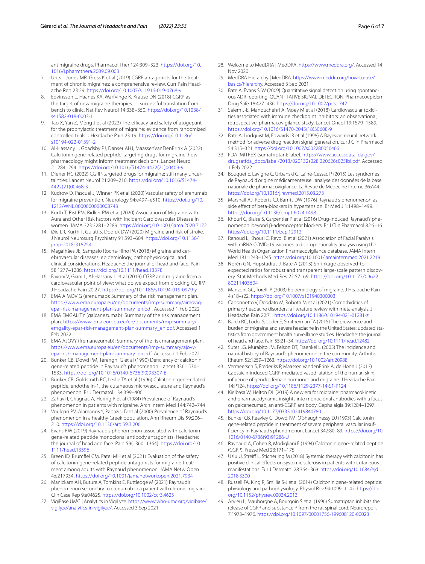antimigraine drugs. Pharmacol Ther 124:309–323. [https://doi.org/10.](https://doi.org/10.1016/j.pharmthera.2009.09.003) [1016/j.pharmthera.2009.09.003](https://doi.org/10.1016/j.pharmthera.2009.09.003)

- <span id="page-5-0"></span>7. Urits I, Jones MR, Gress K et al (2019) CGRP antagonists for the treatment of chronic migraines: a comprehensive review. Curr Pain Headache Rep 23:29. <https://doi.org/10.1007/s11916-019-0768-y>
- <span id="page-5-1"></span>8. Edvinsson L, Haanes KA, Warfvinge K, Krause DN (2018) CGRP as the target of new migraine therapies — successful translation from bench to clinic. Nat Rev Neurol 14:338–350. [https://doi.org/10.1038/](https://doi.org/10.1038/s41582-018-0003-1) [s41582-018-0003-1](https://doi.org/10.1038/s41582-018-0003-1)
- <span id="page-5-2"></span>9. Tao X, Yan Z, Meng J et al (2022) The efficacy and safety of atogepant for the prophylactic treatment of migraine: evidence from randomized controlled trials. J Headache Pain 23:19. [https://doi.org/10.1186/](https://doi.org/10.1186/s10194-022-01391-2) [s10194-022-01391-2](https://doi.org/10.1186/s10194-022-01391-2)
- <span id="page-5-3"></span>10. Al-Hassany L, Goadsby PJ, Danser AHJ, MaassenVanDenBrink A (2022) Calcitonin gene-related peptide-targeting drugs for migraine: how pharmacology might inform treatment decisions. Lancet Neurol 21:284–294. [https://doi.org/10.1016/S1474-4422\(21\)00409-9](https://doi.org/10.1016/S1474-4422(21)00409-9)
- <span id="page-5-4"></span>11. Diener HC (2022) CGRP-targeted drugs for migraine: still many uncertainties. Lancet Neurol 21:209–210. [https://doi.org/10.1016/S1474-](https://doi.org/10.1016/S1474-4422(21)00468-3) [4422\(21\)00468-3](https://doi.org/10.1016/S1474-4422(21)00468-3)
- <span id="page-5-5"></span>12. Kudrow D, Pascual J, Winner PK et al (2020) Vascular safety of erenumab for migraine prevention. Neurology 94:e497–e510. [https://doi.org/10.](https://doi.org/10.1212/WNL.0000000000008743) [1212/WNL.0000000000008743](https://doi.org/10.1212/WNL.0000000000008743)
- <span id="page-5-6"></span>13. Kurth T, Rist PM, Ridker PM et al (2020) Association of Migraine with Aura and Other Risk Factors with Incident Cardiovascular Disease in women. JAMA 323:2281–2289. <https://doi.org/10.1001/jama.2020.7172>
- 14. Øie LR, Kurth T, Gulati S, Dodick DW (2020) Migraine and risk of stroke. J Neurol Neurosurg Psychiatry 91:593–604. [https://doi.org/10.1136/](https://doi.org/10.1136/jnnp-2018-318254) [jnnp-2018-318254](https://doi.org/10.1136/jnnp-2018-318254)
- <span id="page-5-7"></span>15. Magalhães JE, Sampaio Rocha-Filho PA (2018) Migraine and cerebrovascular diseases: epidemiology, pathophysiological, and clinical considerations. Headache: the journal of head and face. Pain 58:1277–1286. <https://doi.org/10.1111/head.13378>
- <span id="page-5-8"></span>16. Favoni V, Giani L, Al-Hassany L et al (2019) CGRP and migraine from a cardiovascular point of view: what do we expect from blocking CGRP? J Headache Pain 20:27.<https://doi.org/10.1186/s10194-019-0979-y>
- <span id="page-5-9"></span>17. EMA AIMOVIG (erenumab): Summary of the risk management plan. [https://www.ema.europa.eu/en/documents/rmp-summary/aimovig](https://www.ema.europa.eu/en/documents/rmp-summary/aimovig-epar-risk-management-plan-summary_en.pdf) [epar-risk-management-plan-summary\\_en.pdf.](https://www.ema.europa.eu/en/documents/rmp-summary/aimovig-epar-risk-management-plan-summary_en.pdf) Accessed 1 Feb 2022
- 18. EMA EMGALITY (galcanezumab): Summary of the risk management plan. [https://www.ema.europa.eu/en/documents/rmp-summary/](https://www.ema.europa.eu/en/documents/rmp-summary/emgality-epar-risk-management-plan-summary_en.pdf) [emgality-epar-risk-management-plan-summary\\_en.pdf.](https://www.ema.europa.eu/en/documents/rmp-summary/emgality-epar-risk-management-plan-summary_en.pdf) Accessed 1 Feb 2022
- <span id="page-5-10"></span>19. EMA AJOVY (fremanezumab): Summary of the risk management plan. [https://www.ema.europa.eu/en/documents/rmp-summary/ajovy](https://www.ema.europa.eu/en/documents/rmp-summary/ajovy-epar-risk-management-plan-summary_en.pdf) [epar-risk-management-plan-summary\\_en.pdf.](https://www.ema.europa.eu/en/documents/rmp-summary/ajovy-epar-risk-management-plan-summary_en.pdf) Accessed 1 Feb 2022
- <span id="page-5-11"></span>20. Bunker CB, Dowd PM, Terenghi G et al (1990) Defciency of calcitonin gene-related peptide in Raynaud's phenomenon. Lancet 336:1530– 1533. [https://doi.org/10.1016/0140-6736\(90\)93307-B](https://doi.org/10.1016/0140-6736(90)93307-B)
- <span id="page-5-12"></span>21. Bunker CB, Goldsmith PC, Leslie TA et al (1996) Calcitonin gene-related peptide, endothelin-1, the cutaneous microvasculature and Raynaud's phenomenon. Br J Dermatol 134:399–406
- <span id="page-5-13"></span>22. Zahavi I, Chagnac A, Hering R et al (1984) Prevalence of Raynaud's phenomenon in patients with migraine. Arch Intern Med 144:742–744
- <span id="page-5-14"></span>23. Voulgari PV, Alamanos Y, Papazisi D et al (2000) Prevalence of Raynaud's phenomenon in a healthy Greek population. Ann Rheum Dis 59:206– 210.<https://doi.org/10.1136/ard.59.3.206>
- <span id="page-5-15"></span>24. Evans RW (2019) Raynaud's phenomenon associated with calcitonin gene-related peptide monoclonal antibody antagonists. Headache: the journal of head and face. Pain 59(1360–1364). [https://doi.org/10.](https://doi.org/10.1111/head.13596) [1111/head.13596](https://doi.org/10.1111/head.13596)
- <span id="page-5-36"></span>25. Breen ID, Brumfel CM, Patel MH et al (2021) Evaluation of the safety of calcitonin gene-related peptide antagonists for migraine treat‑ ment among adults with Raynaud phenomenon. JAMA Netw Open 4:e217934.<https://doi.org/10.1001/jamanetworkopen.2021.7934>
- <span id="page-5-16"></span>26. Manickam AH, Buture A, Tomkins E, Ruttledge M (2021) Raynaud's phenomenon secondary to erenumab in a patient with chronic migraine. Clin Case Rep 9:e04625. <https://doi.org/10.1002/ccr3.4625>
- <span id="page-5-17"></span>27. VigiBase UMC | Analytics in VigiLyze. [https://www.who-umc.org/vigibase/](https://www.who-umc.org/vigibase/vigilyze/analytics-in-vigilyze/) [vigilyze/analytics-in-vigilyze/.](https://www.who-umc.org/vigibase/vigilyze/analytics-in-vigilyze/) Accessed 3 Sep 2021
- <span id="page-5-18"></span>28. Welcome to MedDRA | MedDRA. [https://www.meddra.org/.](https://www.meddra.org/) Accessed 14 Nov 2020
- <span id="page-5-19"></span>29. MedDRA Hierarchy | MedDRA. [https://www.meddra.org/how-to-use/](https://www.meddra.org/how-to-use/basics/hierarchy) [basics/hierarchy.](https://www.meddra.org/how-to-use/basics/hierarchy) Accessed 3 Sep 2021
- <span id="page-5-20"></span>30. Bate A, Evans SJW (2009) Quantitative signal detection using spontaneous ADR reporting: QUANTITATIVE SIGNAL DETECTION. Pharmacoepidem Drug Safe 18:427–436. <https://doi.org/10.1002/pds.1742>
- <span id="page-5-21"></span>31. Salem J-E, Manouchehri A, Moey M et al (2018) Cardiovascular toxicities associated with immune checkpoint inhibitors: an observational, retrospective, pharmacovigilance study. Lancet Oncol 19:1579–1589. [https://doi.org/10.1016/S1470-2045\(18\)30608-9](https://doi.org/10.1016/S1470-2045(18)30608-9)
- <span id="page-5-22"></span>32. Bate A, Lindquist M, Edwards IR et al (1998) A Bayesian neural network method for adverse drug reaction signal generation. Eur J Clin Pharmacol 54:315–321.<https://doi.org/10.1007/s002280050466>
- <span id="page-5-23"></span>33. FDA IMITREX (sumatriptan): label. [https://www.accessdata.fda.gov/](https://www.accessdata.fda.gov/drugsatfda_docs/label/2013/020132s028,020626s025lbl.pdf) [drugsatfda\\_docs/label/2013/020132s028,020626s025lbl.pdf](https://www.accessdata.fda.gov/drugsatfda_docs/label/2013/020132s028,020626s025lbl.pdf). Accessed 1 Feb 2022
- <span id="page-5-27"></span>34. Bouquet E, Lavigne C, Urbanski G, Lainé-Cessac P (2015) Les syndromes de Raynaud d'origine médicamenteuse : analyse des données de la base nationale de pharmacovigilance. La Revue de Médecine Interne 36:A44. <https://doi.org/10.1016/j.revmed.2015.03.273>
- 35. Marshall AJ, Roberts CJ, Barritt DW (1976) Raynaud's phenomenon as side efect of beta-blockers in hypertension. Br Med J 1:1498–1499. <https://doi.org/10.1136/bmj.1.6024.1498>
- <span id="page-5-24"></span>36. Khouri C, Blaise S, Carpentier P et al (2016) Drug-induced Raynaud's phe‑ nomenon: beyond β-adrenoceptor blockers. Br J Clin Pharmacol 82:6–16. <https://doi.org/10.1111/bcp.12912>
- <span id="page-5-25"></span>37. Renoud L, Khouri C, Revol B et al (2021) Association of Facial Paralysis with mRNA COVID-19 vaccines: a disproportionality analysis using the World Health Organization Pharmacovigilance database. JAMA Intern Med 181:1243–1245.<https://doi.org/10.1001/jamainternmed.2021.2219>
- <span id="page-5-26"></span>38. Norén GN, Hopstadius J, Bate A (2013) Shrinkage observed-toexpected ratios for robust and transparent large-scale pattern discovery. Stat Methods Med Res 22:57–69. [https://doi.org/10.1177/09622](https://doi.org/10.1177/0962280211403604) [80211403604](https://doi.org/10.1177/0962280211403604)
- <span id="page-5-28"></span>39. Manzoni GC, Torelli P (2003) Epidemiology of migraine. J Headache Pain 4:s18–s22. <https://doi.org/10.1007/s101940300003>
- 40. Caponnetto V, Deodato M, Robotti M et al (2021) Comorbidities of primary headache disorders: a literature review with meta-analysis. J Headache Pain 22:71. <https://doi.org/10.1186/s10194-021-01281-z>
- 41. Burch RC, Loder S, Loder E, Smitherman TA (2015) The prevalence and burden of migraine and severe headache in the United States: updated statistics from government health surveillance studies. Headache: the journal of head and face. Pain 55:21–34.<https://doi.org/10.1111/head.12482>
- <span id="page-5-29"></span>42. Suter LG, Murabito JM, Felson DT, Fraenkel L (2005) The incidence and natural history of Raynaud's phenomenon in the community. Arthritis Rheum 52:1259–1263. <https://doi.org/10.1002/art.20988>
- <span id="page-5-30"></span>43. Vermeersch S, Frederiks P, Maassen VandenBrink A, de Hoon J (2013) Capsaicin-induced CGRP-mediated vasodilatation of the human skin: infuence of gender, female hormones and migraine. J Headache Pain 14:P124.<https://doi.org/10.1186/1129-2377-14-S1-P124>
- <span id="page-5-31"></span>44. Kielbasa W, Helton DL (2019) A new era for migraine: pharmacokinetic and pharmacodynamic insights into monoclonal antibodies with a focus on galcanezumab, an anti-CGRP antibody. Cephalalgia 39:1284–1297. <https://doi.org/10.1177/0333102419840780>
- <span id="page-5-32"></span>45. Bunker CB, Reavley C, Dowd PM, O'Shaughnessy DJ (1993) Calcitonin gene-related peptide in treatment of severe peripheral vascular insuffciency in Raynaud's phenomenon. Lancet 342:80–83. [https://doi.org/10.](https://doi.org/10.1016/0140-6736(93)91286-U) [1016/0140-6736\(93\)91286-U](https://doi.org/10.1016/0140-6736(93)91286-U)
- 46. Raynaud A, Cohen R, Modigliani E (1994) Calcitonin gene-related peptide (CGRP). Presse Med 23:171–175
- <span id="page-5-33"></span>47. Uslu U, Streiff L, Sticherling M (2018) Systemic therapy with calcitonin has positive clinical efects on systemic sclerosis in patients with cutaneous manifestations. Eur J Dermatol 28:364–369. [https://doi.org/10.1684/ejd.](https://doi.org/10.1684/ejd.2018.3300) [2018.3300](https://doi.org/10.1684/ejd.2018.3300)
- <span id="page-5-34"></span>48. Russell FA, King R, Smillie S-J et al (2014) Calcitonin gene-related peptide: physiology and pathophysiology. Physiol Rev 94:1099–1142. [https://doi.](https://doi.org/10.1152/physrev.00034.2013) [org/10.1152/physrev.00034.2013](https://doi.org/10.1152/physrev.00034.2013)
- <span id="page-5-35"></span>49. Arvieu L, Mauborgne A, Bourgoin S et al (1996) Sumatriptan inhibits the release of CGRP and substance P from the rat spinal cord. Neuroreport 7:1973–1976. <https://doi.org/10.1097/00001756-199608120-00023>